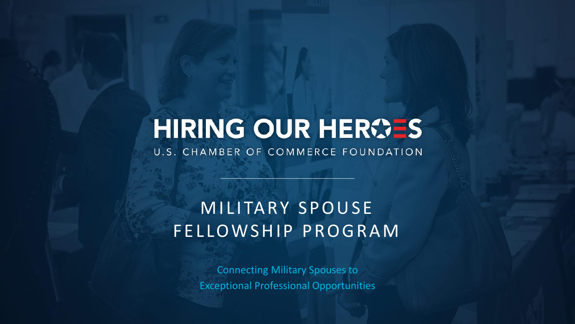# HIRING OUR HEROES

U.S. CHAMBER OF COMMERCE FOUNDATION

# M I LITARY SPOUSE FELLOWSHIP PROGRAM

Connecting Military Spouses to Exceptional Professional Opportunities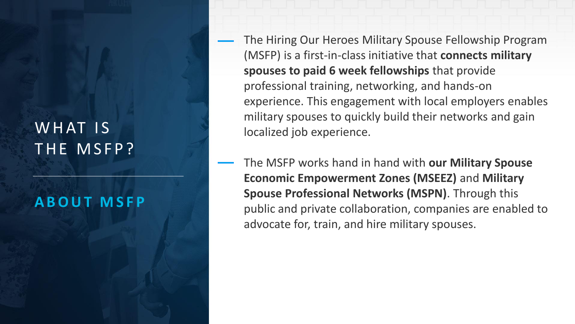# WHAT IS THE MSFP?

#### **A B O U T M S F P**

- The Hiring Our Heroes Military Spouse Fellowship Program (MSFP) is a first-in-class initiative that **connects military spouses to paid 6 week fellowships** that provide professional training, networking, and hands-on experience. This engagement with local employers enables military spouses to quickly build their networks and gain localized job experience.
- The MSFP works hand in hand with **our Military Spouse Economic Empowerment Zones (MSEEZ)** and **Military Spouse Professional Networks (MSPN)**. Through this public and private collaboration, companies are enabled to advocate for, train, and hire military spouses.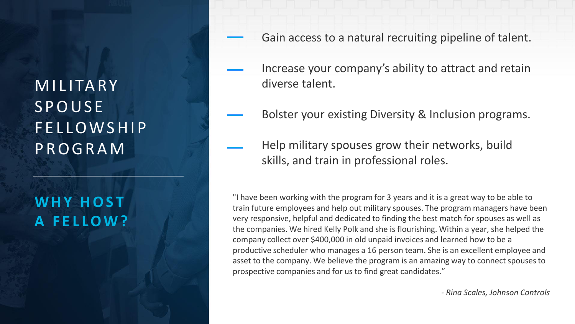# **MILITARY SPOUSE** F E L L O W S H I P P R O G R A M

# WHY HOST **A F E L L O W ?**

- Gain access to a natural recruiting pipeline of talent.
- Increase your company's ability to attract and retain diverse talent.
- Bolster your existing Diversity & Inclusion programs.
- Help military spouses grow their networks, build skills, and train in professional roles.

"I have been working with the program for 3 years and it is a great way to be able to train future employees and help out military spouses. The program managers have been very responsive, helpful and dedicated to finding the best match for spouses as well as the companies. We hired Kelly Polk and she is flourishing. Within a year, she helped the company collect over \$400,000 in old unpaid invoices and learned how to be a productive scheduler who manages a 16 person team. She is an excellent employee and asset to the company. We believe the program is an amazing way to connect spouses to prospective companies and for us to find great candidates."

*- Rina Scales, Johnson Controls*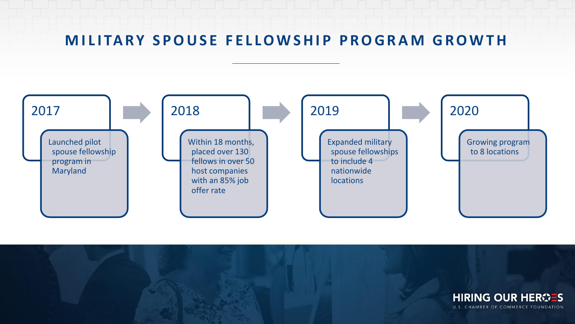#### **MILITARY SPOUSE FELLOWSHIP PROGRAM GROWTH**



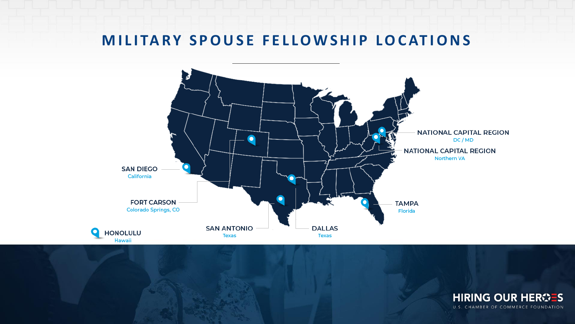#### **MILITARY SPOUSE FELLOWSHIP LOCATIONS**



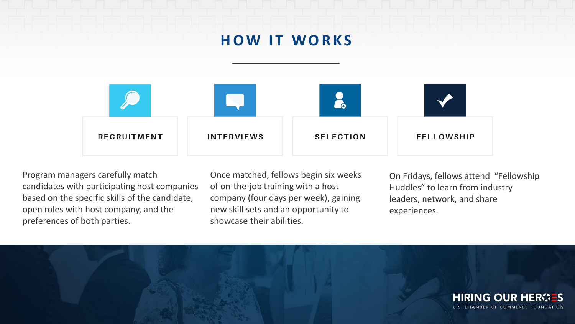### **HOW IT WORKS**



Program managers carefully match candidates with participating host companies based on the specific skills of the candidate, open roles with host company, and the preferences of both parties.

Once matched, fellows begin six weeks of on-the-job training with a host company (four days per week), gaining new skill sets and an opportunity to showcase their abilities.

On Fridays, fellows attend "Fellowship Huddles" to learn from industry leaders, network, and share experiences.

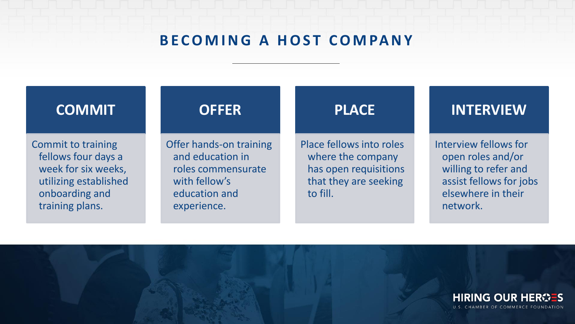#### **BECOMING A HOST COMPANY**

#### **COMMIT**

Commit to training fellows four days a week for six weeks, utilizing established onboarding and training plans.

Offer hands-on training and education in roles commensurate with fellow's education and experience.

**OFFER**

#### **PLACE**

Place fellows into roles where the company has open requisitions that they are seeking to fill.

#### **INTERVIEW**

Interview fellows for open roles and/or willing to refer and assist fellows for jobs elsewhere in their network.

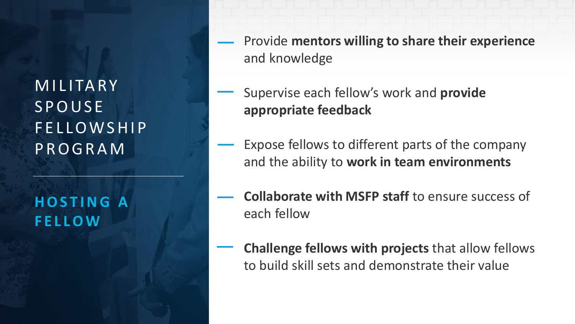**MILITARY SPOUSE** F E L L O W S H I P P R O G R A M

### **H O S T I N G A F E L L O W**

- Provide **mentors willing to share their experience**  and knowledge
- Supervise each fellow's work and **provide appropriate feedback**
- Expose fellows to different parts of the company and the ability to **work in team environments**
- **Collaborate with MSFP staff** to ensure success of each fellow
- **Challenge fellows with projects** that allow fellows to build skill sets and demonstrate their value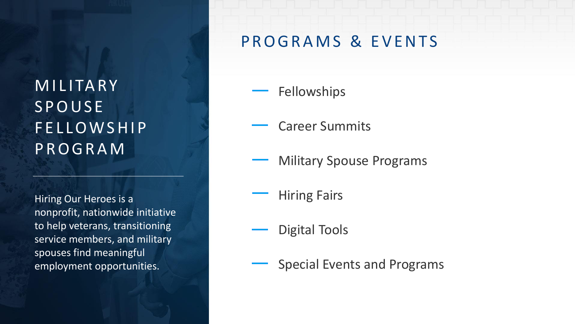# **MILITARY SPOUSE** F E L LOWSHIP P R O G R A M

Hiring Our Heroes is a nonprofit, nationwide initiative to help veterans, transitioning service members, and military spouses find meaningful employment opportunities.

### P R O G R A M S & E V E N T S

- Fellowships
- Career Summits
- Military Spouse Programs
	- Hiring Fairs
- Digital Tools
	- Special Events and Programs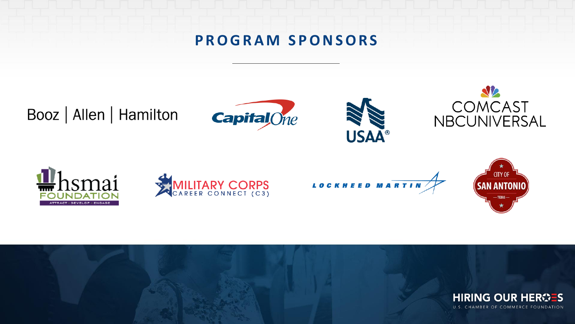### **P R O G R A M S P O N S O R S**